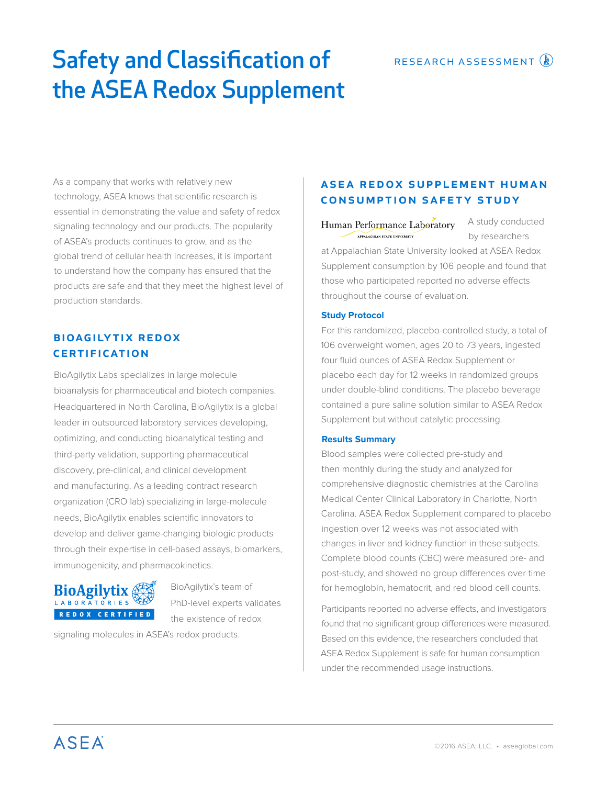# Safety and Classification of the ASEA Redox Supplement

As a company that works with relatively new technology, ASEA knows that scientific research is essential in demonstrating the value and safety of redox signaling technology and our products. The popularity of ASEA's products continues to grow, and as the global trend of cellular health increases, it is important to understand how the company has ensured that the products are safe and that they meet the highest level of production standards.

# bioagilytix redox **CERTIFICATION**

BioAgilytix Labs specializes in large molecule bioanalysis for pharmaceutical and biotech companies. Headquartered in North Carolina, BioAgilytix is a global leader in outsourced laboratory services developing, optimizing, and conducting bioanalytical testing and third-party validation, supporting pharmaceutical discovery, pre-clinical, and clinical development and manufacturing. As a leading contract research organization (CRO lab) specializing in large-molecule needs, BioAgilytix enables scientific innovators to develop and deliver game-changing biologic products through their expertise in cell-based assays, biomarkers, immunogenicity, and pharmacokinetics.



BioAgilytix's team of PhD-level experts validates the existence of redox

signaling molecules in ASEA's redox products.

## ASEA REDOX SUPPLEMENT HUMAN consumption safety study

A study conducted Human Performance Laboratory APPALACHIAN STATE UNIVERSITY by researchers at Appalachian State University looked at ASEA Redox Supplement consumption by 106 people and found that those who participated reported no adverse effects throughout the course of evaluation.

#### **Study Protocol**

For this randomized, placebo-controlled study, a total of 106 overweight women, ages 20 to 73 years, ingested four fluid ounces of ASEA Redox Supplement or placebo each day for 12 weeks in randomized groups under double-blind conditions. The placebo beverage contained a pure saline solution similar to ASEA Redox Supplement but without catalytic processing.

### **Results Summary**

Blood samples were collected pre-study and then monthly during the study and analyzed for comprehensive diagnostic chemistries at the Carolina Medical Center Clinical Laboratory in Charlotte, North Carolina. ASEA Redox Supplement compared to placebo ingestion over 12 weeks was not associated with changes in liver and kidney function in these subjects. Complete blood counts (CBC) were measured pre- and post-study, and showed no group differences over time for hemoglobin, hematocrit, and red blood cell counts.

Participants reported no adverse effects, and investigators found that no significant group differences were measured. Based on this evidence, the researchers concluded that ASEA Redox Supplement is safe for human consumption under the recommended usage instructions.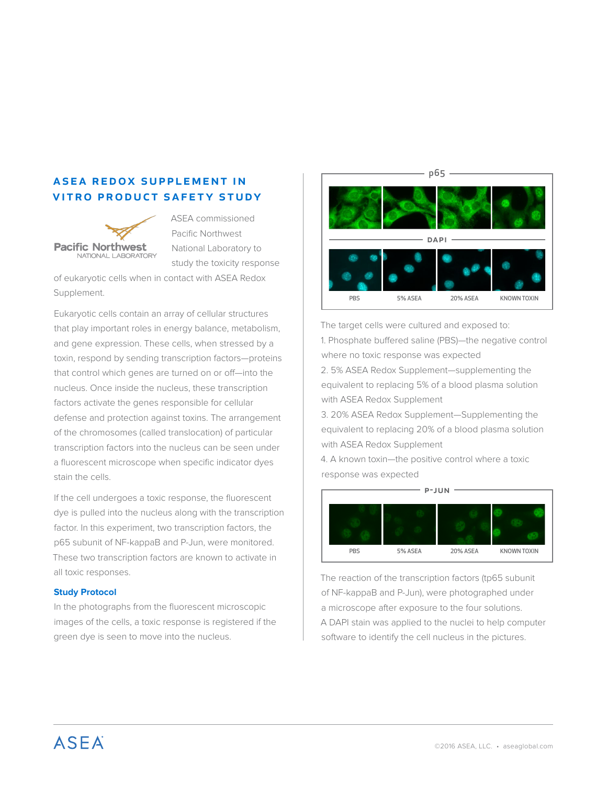## ASEA REDOX SUPPLEMENT IN vitro product safety study



ASEA commissioned Pacific Northwest National Laboratory to study the toxicity response

of eukaryotic cells when in contact with ASEA Redox Supplement.

Eukaryotic cells contain an array of cellular structures that play important roles in energy balance, metabolism, and gene expression. These cells, when stressed by a toxin, respond by sending transcription factors—proteins that control which genes are turned on or off—into the nucleus. Once inside the nucleus, these transcription factors activate the genes responsible for cellular defense and protection against toxins. The arrangement of the chromosomes (called translocation) of particular transcription factors into the nucleus can be seen under a fluorescent microscope when specific indicator dyes stain the cells.

If the cell undergoes a toxic response, the fluorescent dye is pulled into the nucleus along with the transcription factor. In this experiment, two transcription factors, the p65 subunit of NF-kappaB and P-Jun, were monitored. These two transcription factors are known to activate in all toxic responses.

#### **Study Protocol**

In the photographs from the fluorescent microscopic images of the cells, a toxic response is registered if the green dye is seen to move into the nucleus.



The target cells were cultured and exposed to: 1. Phosphate buffered saline (PBS)—the negative control where no toxic response was expected

2. 5% ASEA Redox Supplement—supplementing the equivalent to replacing 5% of a blood plasma solution with ASEA Redox Supplement

3. 20% ASEA Redox Supplement—Supplementing the equivalent to replacing 20% of a blood plasma solution with ASEA Redox Supplement

4. A known toxin—the positive control where a toxic response was expected



The reaction of the transcription factors (tp65 subunit of NF-kappaB and P-Jun), were photographed under a microscope after exposure to the four solutions. A DAPI stain was applied to the nuclei to help computer software to identify the cell nucleus in the pictures.